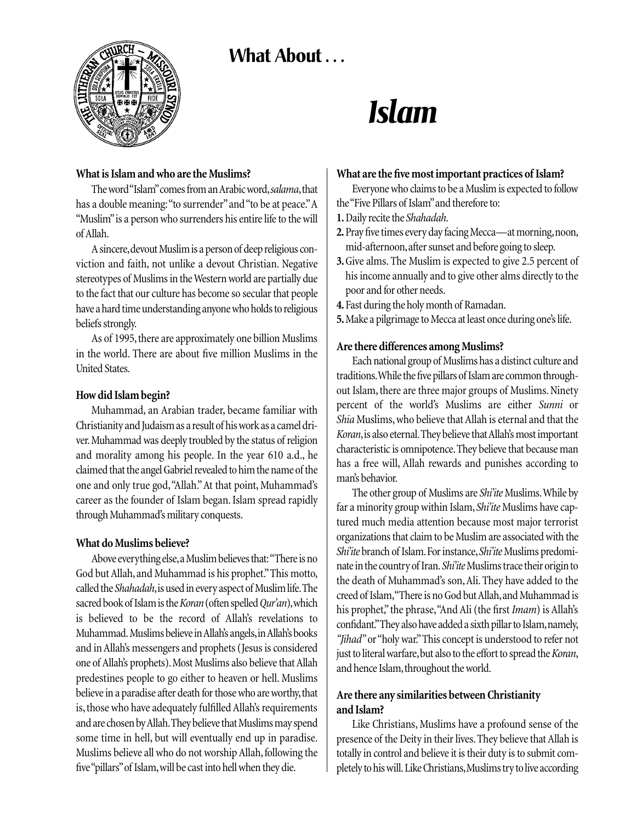# What About ...



# *Islam*

#### **What is Islam and who are the Muslims?**

The word "Islam"comes from an Arabic word,*salama*,that has a double meaning: "to surrender" and "to be at peace." A "Muslim" is a person who surrenders his entire life to the will of Allah.

A sincere,devout Muslim is a person of deep religious conviction and faith, not unlike a devout Christian. Negative stereotypes of Muslims in the Western world are partially due to the fact that our culture has become so secular that people have a hard time understanding anyone who holds to religious beliefs strongly.

As of 1995, there are approximately one billion Muslims in the world. There are about five million Muslims in the United States.

### **How did Islam begin?**

Muhammad, an Arabian trader, became familiar with Christianity and Judaism as a result of his work as a camel driver.Muhammad was deeply troubled by the status of religion and morality among his people. In the year 610 a.d., he claimed that the angel Gabriel revealed to him the name of the one and only true god,"Allah."At that point, Muhammad's career as the founder of Islam began. Islam spread rapidly through Muhammad's military conquests.

# **What do Muslims believe?**

Above everything else,a Muslim believes that:"There is no God but Allah, and Muhammad is his prophet."This motto, called the *Shahadah*, is used in every aspect of Muslim life. The sacred book of Islam is the *Koran*(often spelled *Qur'an*),which is believed to be the record of Allah's revelations to Muhammad. Muslims believe in Allah's angels,in Allah's books and in Allah's messengers and prophets (Jesus is considered one of Allah's prophets). Most Muslims also believe that Allah predestines people to go either to heaven or hell. Muslims believe in a paradise after death for those who are worthy, that is, those who have adequately fulfilled Allah's requirements and are chosen by Allah.They believe that Muslims may spend some time in hell, but will eventually end up in paradise. Muslims believe all who do not worship Allah, following the five "pillars"of Islam,will be cast into hell when they die.

### **What are the five most important practices of Islam?**

Everyone who claims to be a Muslim is expected to follow the "Five Pillars of Islam"and therefore to:

- **1.**Daily recite the *Shahadah*.
- **2.**Pray five times every day facing Mecca—at morning,noon, mid-afternoon,after sunset and before going to sleep.
- **3.**Give alms. The Muslim is expected to give 2.5 percent of his income annually and to give other alms directly to the poor and for other needs.
- **4.** Fast during the holy month of Ramadan.
- **5.**Make a pilgrimage to Mecca at least once during one's life.

### **Are there differences among Muslims?**

Each national group of Muslims has a distinct culture and traditions.While the five pillars of Islam are common throughout Islam, there are three major groups of Muslims. Ninety percent of the world's Muslims are either *Sunni* or *Shia* Muslims, who believe that Allah is eternal and that the *Koran*,is also eternal.They believe that Allah's most important characteristic is omnipotence.They believe that because man has a free will, Allah rewards and punishes according to man's behavior.

The other group of Muslims are *Shi'ite* Muslims. While by far a minority group within Islam,*Shi'ite* Muslims have captured much media attention because most major terrorist organizations that claim to be Muslim are associated with the *Shi'ite* branch of Islam. For instance, *Shi'ite* Muslims predominate in the country of Iran. Shi'ite Muslims trace their origin to the death of Muhammad's son,Ali. They have added to the creed of Islam,"There is no God but Allah,and Muhammad is his prophet," the phrase,"And Ali (the first *Imam*) is Allah's confidant."They also have added a sixth pillar to Islam,namely, *"Jihad"* or "holy war."This concept is understood to refer not just to literal warfare,but also to the effort to spread the *Koran*, and hence Islam, throughout the world.

# **Are there any similarities between Christianity and Islam?**

Like Christians, Muslims have a profound sense of the presence of the Deity in their lives. They believe that Allah is totally in control and believe it is their duty is to submit completely to his will. Like Christians,Muslims try to live according